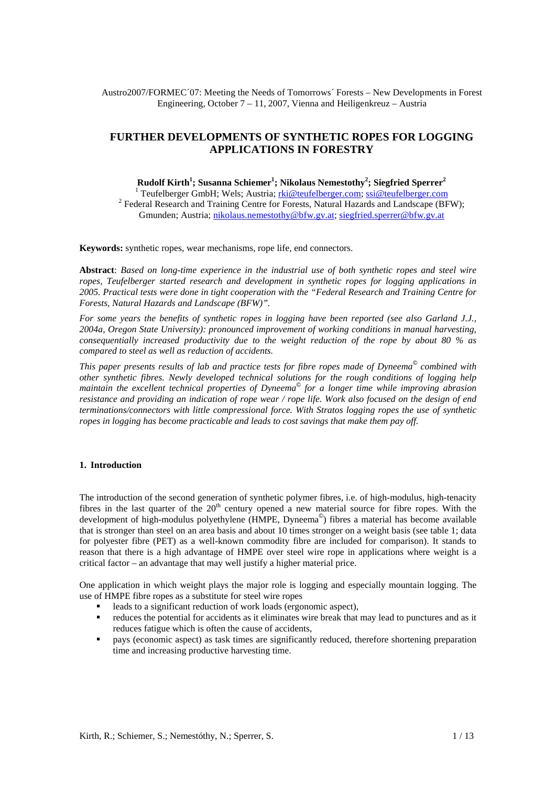Austro2007/FORMEC´07: Meeting the Needs of Tomorrows´ Forests – New Developments in Forest Engineering, October 7 – 11, 2007, Vienna and Heiligenkreuz – Austria

# **FURTHER DEVELOPMENTS OF SYNTHETIC ROPES FOR LOGGING APPLICATIONS IN FORESTRY**

**Rudolf Kirth1 ; Susanna Schiemer<sup>1</sup> ; Nikolaus Nemestothy<sup>2</sup> ; Siegfried Sperrer<sup>2</sup>**

<sup>1</sup> Teufelberger GmbH; Wels; Austria; <u>rki@teufelberger.com; ssi@teufelberger.com</u> <sup>2</sup> Federal Research and Training Centre for Forests, Natural Hazards and Landscape (BFW); Gmunden; Austria; nikolaus.nemestothy@bfw.gv.at; siegfried.sperrer@bfw.gv.at

**Keywords:** synthetic ropes, wear mechanisms, rope life, end connectors.

**Abstract**: *Based on long-time experience in the industrial use of both synthetic ropes and steel wire ropes, Teufelberger started research and development in synthetic ropes for logging applications in 2005. Practical tests were done in tight cooperation with the "Federal Research and Training Centre for Forests, Natural Hazards and Landscape (BFW)".* 

*For some years the benefits of synthetic ropes in logging have been reported (see also Garland J.J., 2004a, Oregon State University): pronounced improvement of working conditions in manual harvesting, consequentially increased productivity due to the weight reduction of the rope by about 80 % as compared to steel as well as reduction of accidents.* 

*This paper presents results of lab and practice tests for fibre ropes made of Dyneema combined with other synthetic fibres. Newly developed technical solutions for the rough conditions of logging help maintain the excellent technical properties of Dyneema© for a longer time while improving abrasion resistance and providing an indication of rope wear / rope life. Work also focused on the design of end terminations/connectors with little compressional force. With Stratos logging ropes the use of synthetic ropes in logging has become practicable and leads to cost savings that make them pay off.* 

### **1. Introduction**

The introduction of the second generation of synthetic polymer fibres, i.e. of high-modulus, high-tenacity fibres in the last quarter of the  $20<sup>th</sup>$  century opened a new material source for fibre ropes. With the development of high-modulus polyethylene (HMPE, Dyneema© ) fibres a material has become available that is stronger than steel on an area basis and about 10 times stronger on a weight basis (see table 1; data for polyester fibre (PET) as a well-known commodity fibre are included for comparison). It stands to reason that there is a high advantage of HMPE over steel wire rope in applications where weight is a critical factor – an advantage that may well justify a higher material price.

One application in which weight plays the major role is logging and especially mountain logging. The use of HMPE fibre ropes as a substitute for steel wire ropes

- leads to a significant reduction of work loads (ergonomic aspect),
- reduces the potential for accidents as it eliminates wire break that may lead to punctures and as it reduces fatigue which is often the cause of accidents,
- pays (economic aspect) as task times are significantly reduced, therefore shortening preparation time and increasing productive harvesting time.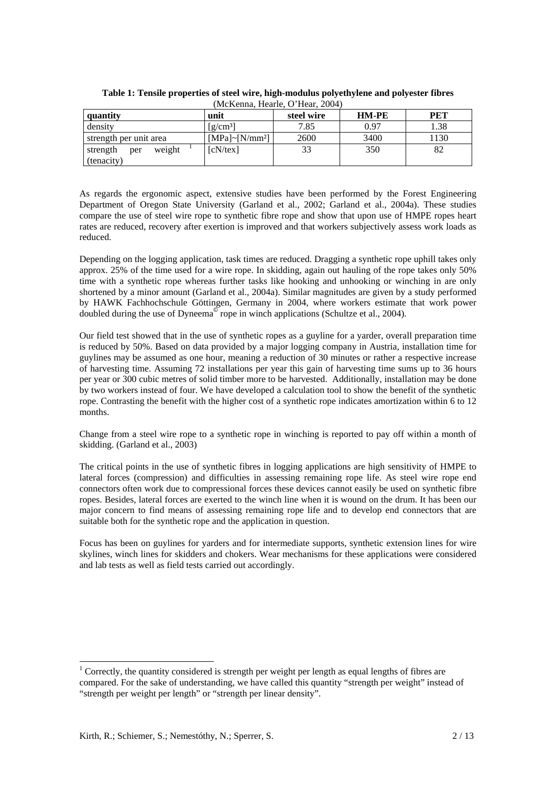| quantity                                | unit                                        | steel wire | <b>HM-PE</b> | PET  |  |  |  |  |  |  |
|-----------------------------------------|---------------------------------------------|------------|--------------|------|--|--|--|--|--|--|
| density                                 | $\left[\frac{\text{g}}{\text{cm}^3}\right]$ | 7.85       | 0.97         | 1.38 |  |  |  |  |  |  |
| strength per unit area                  | $[MPa]~[N/mm^2]$                            | 2600       | 3400         | 1130 |  |  |  |  |  |  |
| weight<br>strength<br>per<br>(tenacity) | [cN/text]                                   | 33         | 350          | 82   |  |  |  |  |  |  |

**Table 1: Tensile properties of steel wire, high-modulus polyethylene and polyester fibres**  (McKenna, Hearle, O'Hear, 2004)

As regards the ergonomic aspect, extensive studies have been performed by the Forest Engineering Department of Oregon State University (Garland et al., 2002; Garland et al., 2004a). These studies compare the use of steel wire rope to synthetic fibre rope and show that upon use of HMPE ropes heart rates are reduced, recovery after exertion is improved and that workers subjectively assess work loads as reduced.

Depending on the logging application, task times are reduced. Dragging a synthetic rope uphill takes only approx. 25% of the time used for a wire rope. In skidding, again out hauling of the rope takes only 50% time with a synthetic rope whereas further tasks like hooking and unhooking or winching in are only shortened by a minor amount (Garland et al., 2004a). Similar magnitudes are given by a study performed by HAWK Fachhochschule Göttingen, Germany in 2004, where workers estimate that work power doubled during the use of Dyneema<sup> $\mathcal{O}$ </sup> rope in winch applications (Schultze et al., 2004).

Our field test showed that in the use of synthetic ropes as a guyline for a yarder, overall preparation time is reduced by 50%. Based on data provided by a major logging company in Austria, installation time for guylines may be assumed as one hour, meaning a reduction of 30 minutes or rather a respective increase of harvesting time. Assuming 72 installations per year this gain of harvesting time sums up to 36 hours per year or 300 cubic metres of solid timber more to be harvested. Additionally, installation may be done by two workers instead of four. We have developed a calculation tool to show the benefit of the synthetic rope. Contrasting the benefit with the higher cost of a synthetic rope indicates amortization within 6 to 12 months.

Change from a steel wire rope to a synthetic rope in winching is reported to pay off within a month of skidding. (Garland et al., 2003)

The critical points in the use of synthetic fibres in logging applications are high sensitivity of HMPE to lateral forces (compression) and difficulties in assessing remaining rope life. As steel wire rope end connectors often work due to compressional forces these devices cannot easily be used on synthetic fibre ropes. Besides, lateral forces are exerted to the winch line when it is wound on the drum. It has been our major concern to find means of assessing remaining rope life and to develop end connectors that are suitable both for the synthetic rope and the application in question.

Focus has been on guylines for yarders and for intermediate supports, synthetic extension lines for wire skylines, winch lines for skidders and chokers. Wear mechanisms for these applications were considered and lab tests as well as field tests carried out accordingly.

1

<span id="page-1-0"></span> $1$  Correctly, the quantity considered is strength per weight per length as equal lengths of fibres are compared. For the sake of understanding, we have called this quantity "strength per weight" instead of "strength per weight per length" or "strength per linear density".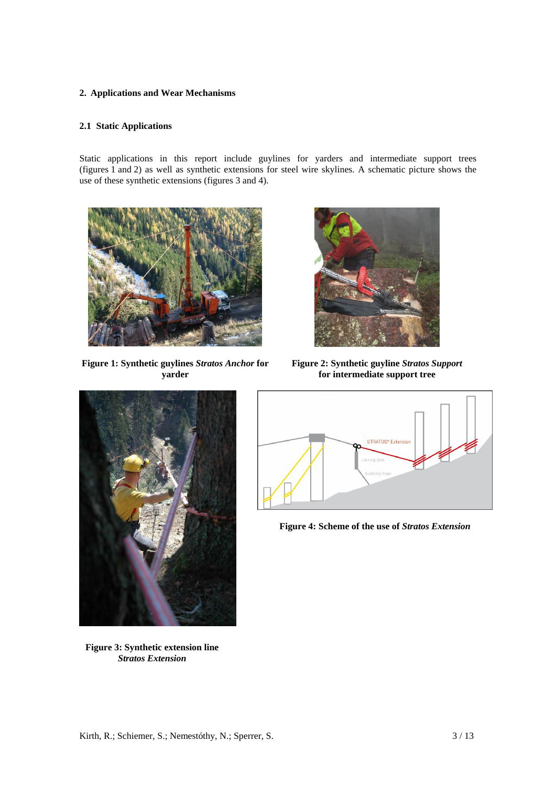## **2. Applications and Wear Mechanisms**

## **2.1 Static Applications**

Static applications in this report include guylines for yarders and intermediate support trees (figures 1 and 2) as well as synthetic extensions for steel wire skylines. A schematic picture shows the use of these synthetic extensions (figures 3 and 4).



**Figure 1: Synthetic guylines** *Stratos Anchor* **for yarder** 



**Figure 2: Synthetic guyline** *Stratos Support* **for intermediate support tree**



**Figure 3: Synthetic extension line**  *Stratos Extension*



**Figure 4: Scheme of the use of** *Stratos Extension*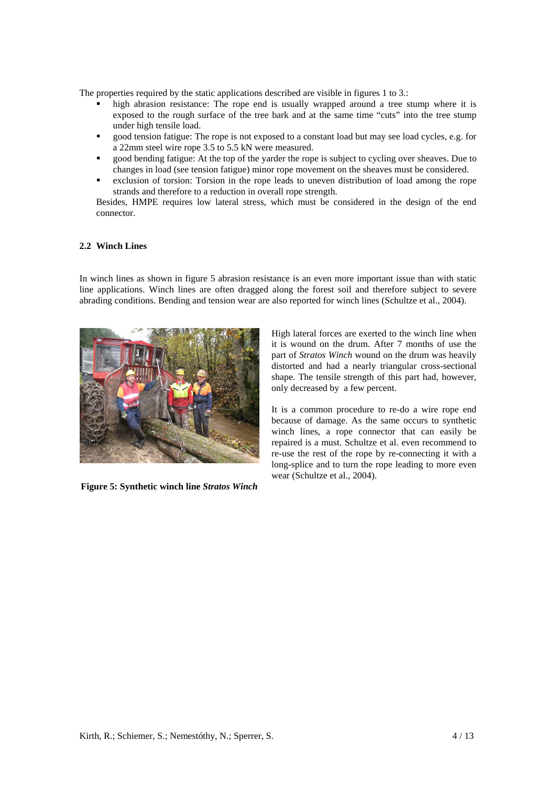The properties required by the static applications described are visible in figures 1 to 3.:

- high abrasion resistance: The rope end is usually wrapped around a tree stump where it is exposed to the rough surface of the tree bark and at the same time "cuts" into the tree stump under high tensile load.
- good tension fatigue: The rope is not exposed to a constant load but may see load cycles, e.g. for a 22mm steel wire rope 3.5 to 5.5 kN were measured.
- good bending fatigue: At the top of the yarder the rope is subject to cycling over sheaves. Due to changes in load (see tension fatigue) minor rope movement on the sheaves must be considered.
- exclusion of torsion: Torsion in the rope leads to uneven distribution of load among the rope strands and therefore to a reduction in overall rope strength.

Besides, HMPE requires low lateral stress, which must be considered in the design of the end connector.

### **2.2 Winch Lines**

In winch lines as shown in figure 5 abrasion resistance is an even more important issue than with static line applications. Winch lines are often dragged along the forest soil and therefore subject to severe abrading conditions. Bending and tension wear are also reported for winch lines (Schultze et al., 2004).



**Figure 5: Synthetic winch line** *Stratos Winch*

High lateral forces are exerted to the winch line when it is wound on the drum. After 7 months of use the part of *Stratos Winch* wound on the drum was heavily distorted and had a nearly triangular cross-sectional shape. The tensile strength of this part had, however, only decreased by a few percent.

It is a common procedure to re-do a wire rope end because of damage. As the same occurs to synthetic winch lines, a rope connector that can easily be repaired is a must. Schultze et al. even recommend to re-use the rest of the rope by re-connecting it with a long-splice and to turn the rope leading to more even wear (Schultze et al., 2004).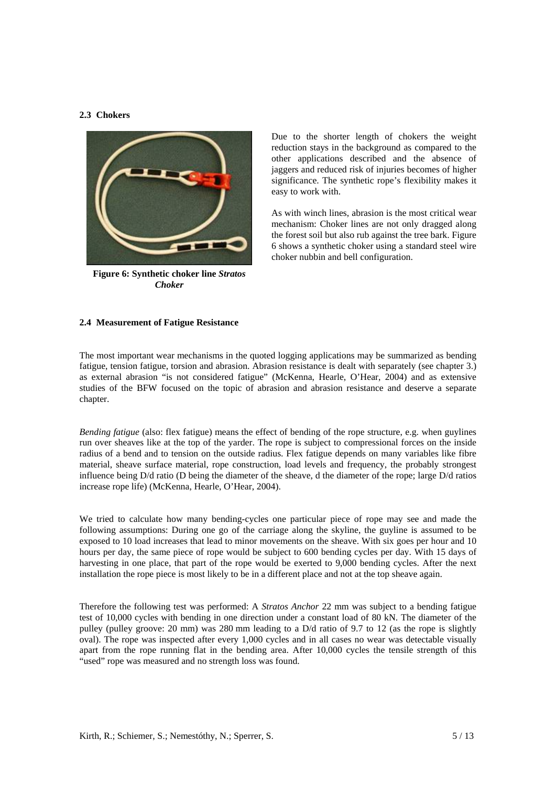## **2.3 Chokers**



**Figure 6: Synthetic choker line** *Stratos Choker*

Due to the shorter length of chokers the weight reduction stays in the background as compared to the other applications described and the absence of jaggers and reduced risk of injuries becomes of higher significance. The synthetic rope's flexibility makes it easy to work with.

As with winch lines, abrasion is the most critical wear mechanism: Choker lines are not only dragged along the forest soil but also rub against the tree bark. Figure 6 shows a synthetic choker using a standard steel wire choker nubbin and bell configuration.

### **2.4 Measurement of Fatigue Resistance**

The most important wear mechanisms in the quoted logging applications may be summarized as bending fatigue, tension fatigue, torsion and abrasion. Abrasion resistance is dealt with separately (see chapter 3.) as external abrasion "is not considered fatigue" (McKenna, Hearle, O'Hear, 2004) and as extensive studies of the BFW focused on the topic of abrasion and abrasion resistance and deserve a separate chapter.

*Bending fatigue* (also: flex fatigue) means the effect of bending of the rope structure, e.g. when guylines run over sheaves like at the top of the yarder. The rope is subject to compressional forces on the inside radius of a bend and to tension on the outside radius. Flex fatigue depends on many variables like fibre material, sheave surface material, rope construction, load levels and frequency, the probably strongest influence being D/d ratio (D being the diameter of the sheave, d the diameter of the rope; large D/d ratios increase rope life) (McKenna, Hearle, O'Hear, 2004).

We tried to calculate how many bending-cycles one particular piece of rope may see and made the following assumptions: During one go of the carriage along the skyline, the guyline is assumed to be exposed to 10 load increases that lead to minor movements on the sheave. With six goes per hour and 10 hours per day, the same piece of rope would be subject to 600 bending cycles per day. With 15 days of harvesting in one place, that part of the rope would be exerted to 9,000 bending cycles. After the next installation the rope piece is most likely to be in a different place and not at the top sheave again.

Therefore the following test was performed: A *Stratos Anchor* 22 mm was subject to a bending fatigue test of 10,000 cycles with bending in one direction under a constant load of 80 kN. The diameter of the pulley (pulley groove: 20 mm) was 280 mm leading to a D/d ratio of 9.7 to 12 (as the rope is slightly oval). The rope was inspected after every 1,000 cycles and in all cases no wear was detectable visually apart from the rope running flat in the bending area. After 10,000 cycles the tensile strength of this "used" rope was measured and no strength loss was found.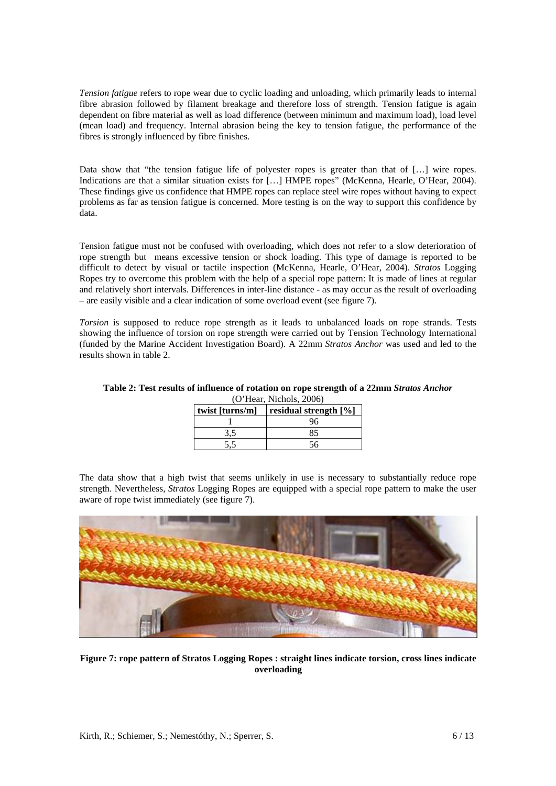*Tension fatigue* refers to rope wear due to cyclic loading and unloading, which primarily leads to internal fibre abrasion followed by filament breakage and therefore loss of strength. Tension fatigue is again dependent on fibre material as well as load difference (between minimum and maximum load), load level (mean load) and frequency. Internal abrasion being the key to tension fatigue, the performance of the fibres is strongly influenced by fibre finishes.

Data show that "the tension fatigue life of polyester ropes is greater than that of [...] wire ropes. Indications are that a similar situation exists for […] HMPE ropes" (McKenna, Hearle, O'Hear, 2004). These findings give us confidence that HMPE ropes can replace steel wire ropes without having to expect problems as far as tension fatigue is concerned. More testing is on the way to support this confidence by data.

Tension fatigue must not be confused with overloading, which does not refer to a slow deterioration of rope strength but means excessive tension or shock loading. This type of damage is reported to be difficult to detect by visual or tactile inspection (McKenna, Hearle, O'Hear, 2004). *Stratos* Logging Ropes try to overcome this problem with the help of a special rope pattern: It is made of lines at regular and relatively short intervals. Differences in inter-line distance - as may occur as the result of overloading – are easily visible and a clear indication of some overload event (see figure 7).

*Torsion* is supposed to reduce rope strength as it leads to unbalanced loads on rope strands. Tests showing the influence of torsion on rope strength were carried out by Tension Technology International (funded by the Marine Accident Investigation Board). A 22mm *Stratos Anchor* was used and led to the results shown in table 2.

**Table 2: Test results of influence of rotation on rope strength of a 22mm** *Stratos Anchor*  (O'Hear, Nichols, 2006)

| twist [turns/m] | residual strength [%] |  |  |
|-----------------|-----------------------|--|--|
|                 | 96                    |  |  |
|                 | 85                    |  |  |
|                 | 56                    |  |  |

The data show that a high twist that seems unlikely in use is necessary to substantially reduce rope strength. Nevertheless, *Stratos* Logging Ropes are equipped with a special rope pattern to make the user aware of rope twist immediately (see figure 7).



**Figure 7: rope pattern of Stratos Logging Ropes : straight lines indicate torsion, cross lines indicate overloading**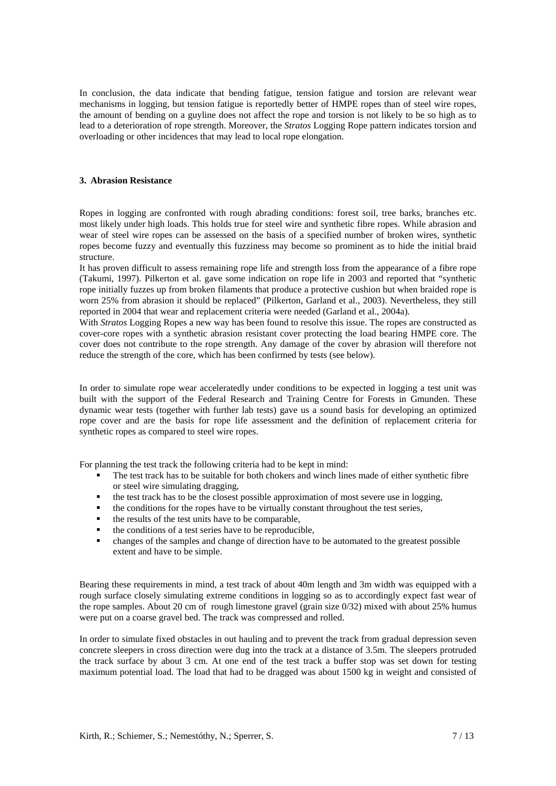In conclusion, the data indicate that bending fatigue, tension fatigue and torsion are relevant wear mechanisms in logging, but tension fatigue is reportedly better of HMPE ropes than of steel wire ropes, the amount of bending on a guyline does not affect the rope and torsion is not likely to be so high as to lead to a deterioration of rope strength. Moreover, the *Stratos* Logging Rope pattern indicates torsion and overloading or other incidences that may lead to local rope elongation.

#### **3. Abrasion Resistance**

Ropes in logging are confronted with rough abrading conditions: forest soil, tree barks, branches etc. most likely under high loads. This holds true for steel wire and synthetic fibre ropes. While abrasion and wear of steel wire ropes can be assessed on the basis of a specified number of broken wires, synthetic ropes become fuzzy and eventually this fuzziness may become so prominent as to hide the initial braid structure.

It has proven difficult to assess remaining rope life and strength loss from the appearance of a fibre rope (Takumi, 1997). Pilkerton et al. gave some indication on rope life in 2003 and reported that "synthetic rope initially fuzzes up from broken filaments that produce a protective cushion but when braided rope is worn 25% from abrasion it should be replaced" (Pilkerton, Garland et al., 2003). Nevertheless, they still reported in 2004 that wear and replacement criteria were needed (Garland et al., 2004a).

With *Stratos* Logging Ropes a new way has been found to resolve this issue. The ropes are constructed as cover-core ropes with a synthetic abrasion resistant cover protecting the load bearing HMPE core. The cover does not contribute to the rope strength. Any damage of the cover by abrasion will therefore not reduce the strength of the core, which has been confirmed by tests (see below).

In order to simulate rope wear acceleratedly under conditions to be expected in logging a test unit was built with the support of the Federal Research and Training Centre for Forests in Gmunden. These dynamic wear tests (together with further lab tests) gave us a sound basis for developing an optimized rope cover and are the basis for rope life assessment and the definition of replacement criteria for synthetic ropes as compared to steel wire ropes.

For planning the test track the following criteria had to be kept in mind:

- The test track has to be suitable for both chokers and winch lines made of either synthetic fibre or steel wire simulating dragging,
- $\blacksquare$  the test track has to be the closest possible approximation of most severe use in logging,
- $\bullet$  the conditions for the ropes have to be virtually constant throughout the test series,
- the results of the test units have to be comparable,
- $\blacksquare$  the conditions of a test series have to be reproducible,
- changes of the samples and change of direction have to be automated to the greatest possible extent and have to be simple.

Bearing these requirements in mind, a test track of about 40m length and 3m width was equipped with a rough surface closely simulating extreme conditions in logging so as to accordingly expect fast wear of the rope samples. About 20 cm of rough limestone gravel (grain size 0/32) mixed with about 25% humus were put on a coarse gravel bed. The track was compressed and rolled.

In order to simulate fixed obstacles in out hauling and to prevent the track from gradual depression seven concrete sleepers in cross direction were dug into the track at a distance of 3.5m. The sleepers protruded the track surface by about 3 cm. At one end of the test track a buffer stop was set down for testing maximum potential load. The load that had to be dragged was about 1500 kg in weight and consisted of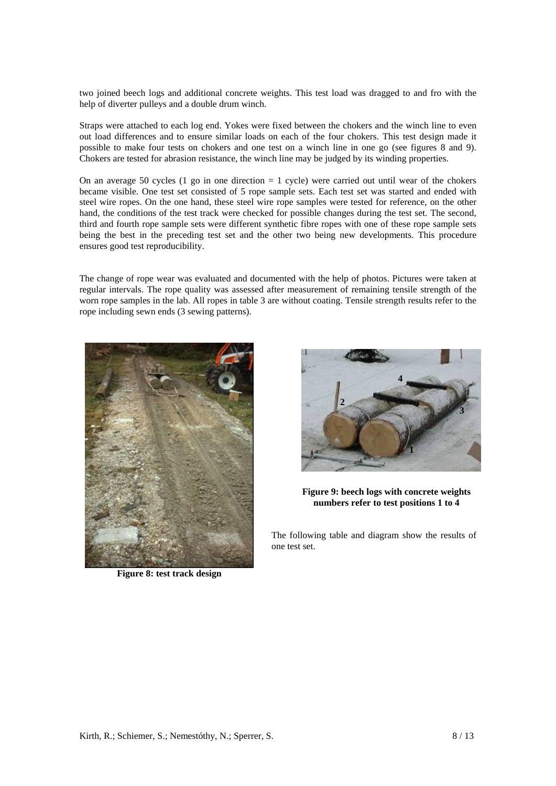two joined beech logs and additional concrete weights. This test load was dragged to and fro with the help of diverter pulleys and a double drum winch.

Straps were attached to each log end. Yokes were fixed between the chokers and the winch line to even out load differences and to ensure similar loads on each of the four chokers. This test design made it possible to make four tests on chokers and one test on a winch line in one go (see figures 8 and 9). Chokers are tested for abrasion resistance, the winch line may be judged by its winding properties.

On an average 50 cycles  $(1 \text{ go in one direction} = 1 \text{ cycle})$  were carried out until wear of the chokers became visible. One test set consisted of 5 rope sample sets. Each test set was started and ended with steel wire ropes. On the one hand, these steel wire rope samples were tested for reference, on the other hand, the conditions of the test track were checked for possible changes during the test set. The second, third and fourth rope sample sets were different synthetic fibre ropes with one of these rope sample sets being the best in the preceding test set and the other two being new developments. This procedure ensures good test reproducibility.

The change of rope wear was evaluated and documented with the help of photos. Pictures were taken at regular intervals. The rope quality was assessed after measurement of remaining tensile strength of the worn rope samples in the lab. All ropes in table 3 are without coating. Tensile strength results refer to the rope including sewn ends (3 sewing patterns).



**Figure 8: test track design** 



**Figure 9: beech logs with concrete weights numbers refer to test positions 1 to 4**

The following table and diagram show the results of one test set.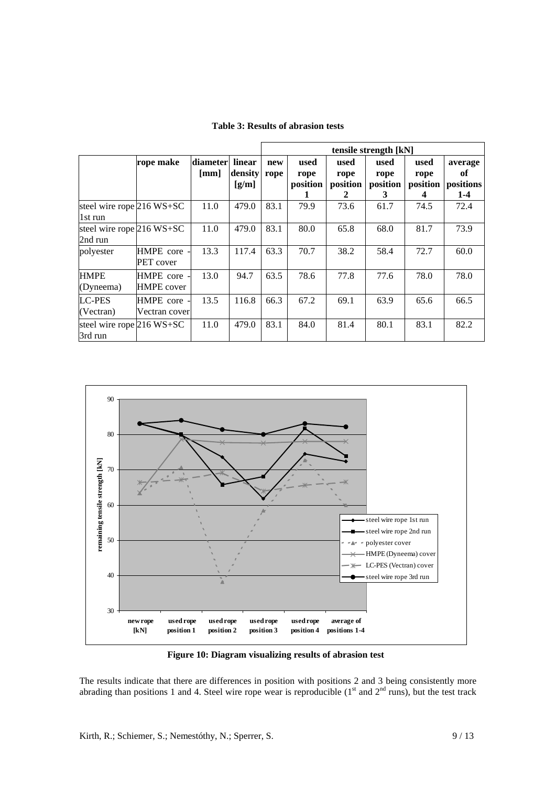|                                                 |                                  |                  |                            | tensile strength [kN] |                          |                               |                               |                               |                                       |
|-------------------------------------------------|----------------------------------|------------------|----------------------------|-----------------------|--------------------------|-------------------------------|-------------------------------|-------------------------------|---------------------------------------|
|                                                 | rope make                        | diameter<br>[mm] | linear<br>density<br>[g/m] | new<br>rope           | used<br>rope<br>position | used<br>rope<br>position<br>2 | used<br>rope<br>position<br>3 | used<br>rope<br>position<br>4 | average<br>оf<br>positions<br>$1 - 4$ |
| steel wire rope <sup>216</sup> WS+SC<br>1st run |                                  | 11.0             | 479.0                      | 83.1                  | 79.9                     | 73.6                          | 61.7                          | 74.5                          | 72.4                                  |
| steel wire rope 216 WS+SC<br>2nd run            |                                  | 11.0             | 479.0                      | 83.1                  | 80.0                     | 65.8                          | 68.0                          | 81.7                          | 73.9                                  |
| polyester                                       | HMPE core -<br>PET cover         | 13.3             | 117.4                      | 63.3                  | 70.7                     | 38.2                          | 58.4                          | 72.7                          | 60.0                                  |
| <b>HMPE</b><br>(Dyneema)                        | HMPE core -<br><b>HMPE</b> cover | 13.0             | 94.7                       | 63.5                  | 78.6                     | 77.8                          | 77.6                          | 78.0                          | 78.0                                  |
| <b>LC-PES</b><br>(Vectran)                      | HMPE core -<br>Vectran cover     | 13.5             | 116.8                      | 66.3                  | 67.2                     | 69.1                          | 63.9                          | 65.6                          | 66.5                                  |
| steel wire rope $216$ WS+SC<br>3rd run          |                                  | 11.0             | 479.0                      | 83.1                  | 84.0                     | 81.4                          | 80.1                          | 83.1                          | 82.2                                  |

**Table 3: Results of abrasion tests** 



**Figure 10: Diagram visualizing results of abrasion test**

The results indicate that there are differences in position with positions 2 and 3 being consistently more abrading than positions 1 and 4. Steel wire rope wear is reproducible  $(1<sup>st</sup>$  and  $2<sup>nd</sup>$  runs), but the test track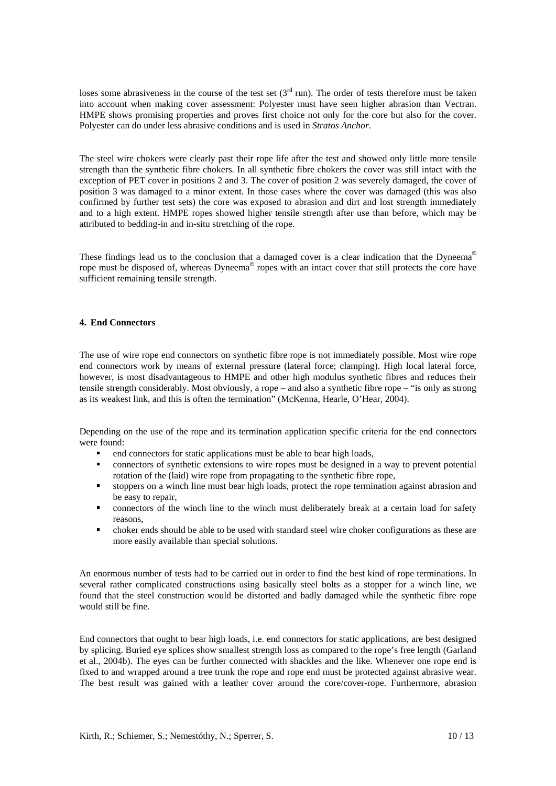loses some abrasiveness in the course of the test set  $(3<sup>rd</sup>$  run). The order of tests therefore must be taken into account when making cover assessment: Polyester must have seen higher abrasion than Vectran. HMPE shows promising properties and proves first choice not only for the core but also for the cover. Polyester can do under less abrasive conditions and is used in *Stratos Anchor*.

The steel wire chokers were clearly past their rope life after the test and showed only little more tensile strength than the synthetic fibre chokers. In all synthetic fibre chokers the cover was still intact with the exception of PET cover in positions 2 and 3. The cover of position 2 was severely damaged, the cover of position 3 was damaged to a minor extent. In those cases where the cover was damaged (this was also confirmed by further test sets) the core was exposed to abrasion and dirt and lost strength immediately and to a high extent. HMPE ropes showed higher tensile strength after use than before, which may be attributed to bedding-in and in-situ stretching of the rope.

These findings lead us to the conclusion that a damaged cover is a clear indication that the Dyneema<sup>®</sup> rope must be disposed of, whereas Dyneema<sup>®</sup> ropes with an intact cover that still protects the core have sufficient remaining tensile strength.

#### **4. End Connectors**

The use of wire rope end connectors on synthetic fibre rope is not immediately possible. Most wire rope end connectors work by means of external pressure (lateral force; clamping). High local lateral force, however, is most disadvantageous to HMPE and other high modulus synthetic fibres and reduces their tensile strength considerably. Most obviously, a rope – and also a synthetic fibre rope – "is only as strong as its weakest link, and this is often the termination" (McKenna, Hearle, O'Hear, 2004).

Depending on the use of the rope and its termination application specific criteria for the end connectors were found:

- end connectors for static applications must be able to bear high loads,
- connectors of synthetic extensions to wire ropes must be designed in a way to prevent potential rotation of the (laid) wire rope from propagating to the synthetic fibre rope,
- stoppers on a winch line must bear high loads, protect the rope termination against abrasion and be easy to repair,
- connectors of the winch line to the winch must deliberately break at a certain load for safety reasons,
- choker ends should be able to be used with standard steel wire choker configurations as these are more easily available than special solutions.

An enormous number of tests had to be carried out in order to find the best kind of rope terminations. In several rather complicated constructions using basically steel bolts as a stopper for a winch line, we found that the steel construction would be distorted and badly damaged while the synthetic fibre rope would still be fine.

End connectors that ought to bear high loads, i.e. end connectors for static applications, are best designed by splicing. Buried eye splices show smallest strength loss as compared to the rope's free length (Garland et al., 2004b). The eyes can be further connected with shackles and the like. Whenever one rope end is fixed to and wrapped around a tree trunk the rope and rope end must be protected against abrasive wear. The best result was gained with a leather cover around the core/cover-rope. Furthermore, abrasion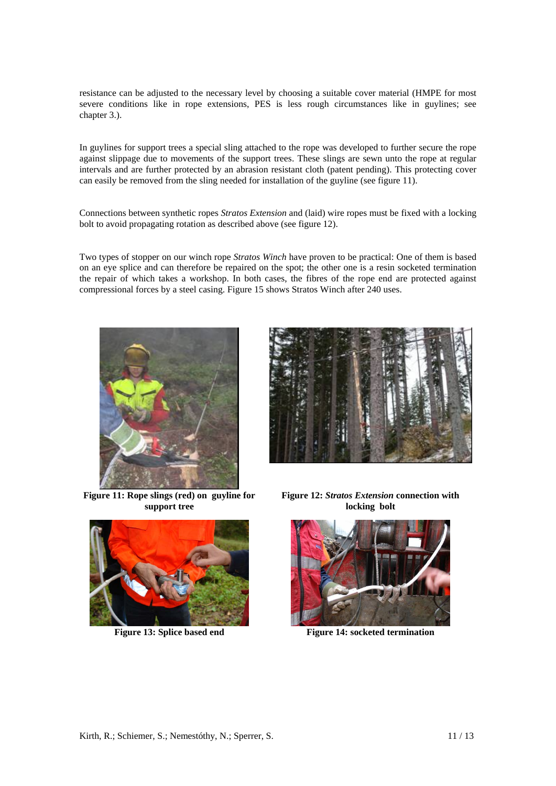resistance can be adjusted to the necessary level by choosing a suitable cover material (HMPE for most severe conditions like in rope extensions, PES is less rough circumstances like in guylines; see chapter 3.).

In guylines for support trees a special sling attached to the rope was developed to further secure the rope against slippage due to movements of the support trees. These slings are sewn unto the rope at regular intervals and are further protected by an abrasion resistant cloth (patent pending). This protecting cover can easily be removed from the sling needed for installation of the guyline (see figure 11).

Connections between synthetic ropes *Stratos Extension* and (laid) wire ropes must be fixed with a locking bolt to avoid propagating rotation as described above (see figure 12).

Two types of stopper on our winch rope *Stratos Winch* have proven to be practical: One of them is based on an eye splice and can therefore be repaired on the spot; the other one is a resin socketed termination the repair of which takes a workshop. In both cases, the fibres of the rope end are protected against compressional forces by a steel casing. Figure 15 shows Stratos Winch after 240 uses.



**Figure 11: Rope slings (red) on guyline for support tree** 





**Figure 12:** *Stratos Extension* **connection with locking bolt** 



**Figure 13: Splice based end** Figure 14: socketed termination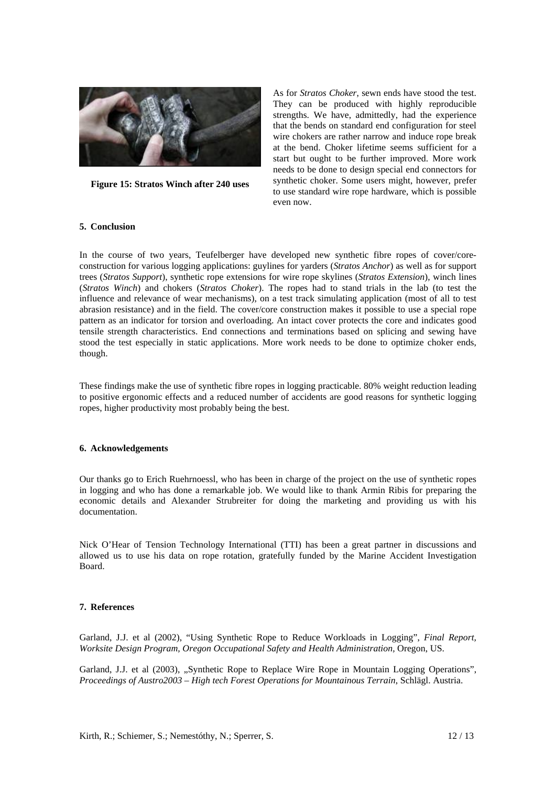

**Figure 15: Stratos Winch after 240 uses** 

As for *Stratos Choker*, sewn ends have stood the test. They can be produced with highly reproducible strengths. We have, admittedly, had the experience that the bends on standard end configuration for steel wire chokers are rather narrow and induce rope break at the bend. Choker lifetime seems sufficient for a start but ought to be further improved. More work needs to be done to design special end connectors for synthetic choker. Some users might, however, prefer to use standard wire rope hardware, which is possible even now.

### **5. Conclusion**

In the course of two years, Teufelberger have developed new synthetic fibre ropes of cover/coreconstruction for various logging applications: guylines for yarders (*Stratos Anchor*) as well as for support trees (*Stratos Support*), synthetic rope extensions for wire rope skylines (*Stratos Extension*), winch lines (*Stratos Winch*) and chokers (*Stratos Choker*). The ropes had to stand trials in the lab (to test the influence and relevance of wear mechanisms), on a test track simulating application (most of all to test abrasion resistance) and in the field. The cover/core construction makes it possible to use a special rope pattern as an indicator for torsion and overloading. An intact cover protects the core and indicates good tensile strength characteristics. End connections and terminations based on splicing and sewing have stood the test especially in static applications. More work needs to be done to optimize choker ends, though.

These findings make the use of synthetic fibre ropes in logging practicable. 80% weight reduction leading to positive ergonomic effects and a reduced number of accidents are good reasons for synthetic logging ropes, higher productivity most probably being the best.

#### **6. Acknowledgements**

Our thanks go to Erich Ruehrnoessl, who has been in charge of the project on the use of synthetic ropes in logging and who has done a remarkable job. We would like to thank Armin Ribis for preparing the economic details and Alexander Strubreiter for doing the marketing and providing us with his documentation.

Nick O'Hear of Tension Technology International (TTI) has been a great partner in discussions and allowed us to use his data on rope rotation, gratefully funded by the Marine Accident Investigation Board.

### **7. References**

Garland, J.J. et al (2002), "Using Synthetic Rope to Reduce Workloads in Logging", *Final Report, Worksite Design Program, Oregon Occupational Safety and Health Administration,* Oregon, US.

Garland, J.J. et al (2003), "Synthetic Rope to Replace Wire Rope in Mountain Logging Operations". *Proceedings of Austro2003 – High tech Forest Operations for Mountainous Terrain*, Schlägl. Austria.